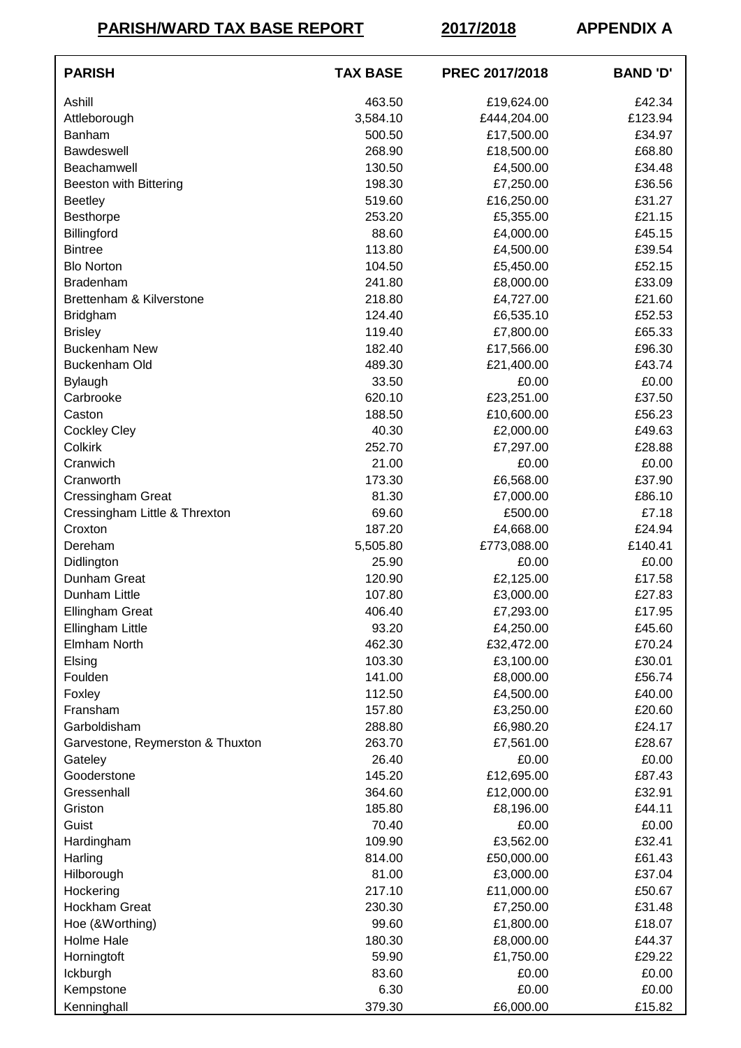**PARISH/WARD TAX BASE REPORT 2017/2018 APPENDIX A**

| <b>PARISH</b>                    | <b>TAX BASE</b> | PREC 2017/2018 | <b>BAND 'D'</b> |
|----------------------------------|-----------------|----------------|-----------------|
| Ashill                           | 463.50          | £19,624.00     | £42.34          |
| Attleborough                     | 3,584.10        | £444,204.00    | £123.94         |
| <b>Banham</b>                    | 500.50          | £17,500.00     | £34.97          |
| <b>Bawdeswell</b>                | 268.90          | £18,500.00     | £68.80          |
| Beachamwell                      | 130.50          | £4,500.00      | £34.48          |
| <b>Beeston with Bittering</b>    | 198.30          | £7,250.00      | £36.56          |
| <b>Beetley</b>                   | 519.60          | £16,250.00     | £31.27          |
| Besthorpe                        | 253.20          | £5,355.00      | £21.15          |
| Billingford                      | 88.60           | £4,000.00      | £45.15          |
| <b>Bintree</b>                   | 113.80          | £4,500.00      | £39.54          |
| <b>Blo Norton</b>                | 104.50          | £5,450.00      | £52.15          |
| <b>Bradenham</b>                 | 241.80          | £8,000.00      | £33.09          |
| Brettenham & Kilverstone         | 218.80          | £4,727.00      | £21.60          |
| <b>Bridgham</b>                  | 124.40          | £6,535.10      | £52.53          |
| <b>Brisley</b>                   | 119.40          | £7,800.00      | £65.33          |
| <b>Buckenham New</b>             | 182.40          | £17,566.00     | £96.30          |
| Buckenham Old                    | 489.30          | £21,400.00     | £43.74          |
| <b>Bylaugh</b>                   | 33.50           | £0.00          | £0.00           |
| Carbrooke                        | 620.10          | £23,251.00     | £37.50          |
| Caston                           | 188.50          | £10,600.00     | £56.23          |
| <b>Cockley Cley</b>              | 40.30           | £2,000.00      | £49.63          |
| Colkirk                          | 252.70          | £7,297.00      | £28.88          |
| Cranwich                         | 21.00           | £0.00          | £0.00           |
| Cranworth                        | 173.30          | £6,568.00      | £37.90          |
| <b>Cressingham Great</b>         | 81.30           | £7,000.00      | £86.10          |
| Cressingham Little & Threxton    | 69.60           | £500.00        | £7.18           |
| Croxton                          | 187.20          | £4,668.00      | £24.94          |
| Dereham                          | 5,505.80        | £773,088.00    | £140.41         |
| Didlington                       | 25.90           | £0.00          | £0.00           |
| Dunham Great                     | 120.90          | £2,125.00      | £17.58          |
| Dunham Little                    | 107.80          | £3,000.00      | £27.83          |
| <b>Ellingham Great</b>           | 406.40          | £7,293.00      | £17.95          |
| Ellingham Little                 | 93.20           | £4,250.00      | £45.60          |
| Elmham North                     | 462.30          | £32,472.00     | £70.24          |
| Elsing                           | 103.30          | £3,100.00      | £30.01          |
| Foulden                          | 141.00          | £8,000.00      | £56.74          |
| Foxley                           | 112.50          | £4,500.00      | £40.00          |
| Fransham                         | 157.80          | £3,250.00      | £20.60          |
| Garboldisham                     | 288.80          | £6,980.20      | £24.17          |
| Garvestone, Reymerston & Thuxton | 263.70          | £7,561.00      | £28.67          |
| Gateley                          | 26.40           | £0.00          | £0.00           |
| Gooderstone                      | 145.20          | £12,695.00     | £87.43          |
| Gressenhall                      | 364.60          | £12,000.00     | £32.91          |
| Griston                          | 185.80          | £8,196.00      | £44.11          |
| Guist                            | 70.40           | £0.00          | £0.00           |
| Hardingham                       | 109.90          | £3,562.00      | £32.41          |
| Harling                          | 814.00          | £50,000.00     | £61.43          |
| Hilborough                       | 81.00           | £3,000.00      | £37.04          |
| Hockering                        | 217.10          | £11,000.00     | £50.67          |
| <b>Hockham Great</b>             | 230.30          | £7,250.00      | £31.48          |
| Hoe (&Worthing)                  | 99.60           | £1,800.00      | £18.07          |
| Holme Hale                       | 180.30          | £8,000.00      | £44.37          |
| Horningtoft                      | 59.90           | £1,750.00      | £29.22          |
| Ickburgh                         | 83.60           | £0.00          | £0.00           |
| Kempstone                        | 6.30            | £0.00          | £0.00           |
| Kenninghall                      | 379.30          | £6,000.00      | £15.82          |